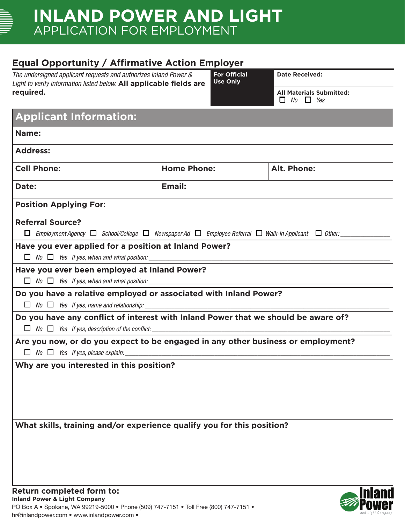# **INLAND POWER AND LIGHT** APPLICATION FOR EMPLOYMENT

## **Equal Opportunity / Affirmative Action Employer**

| The undersigned applicant requests and authorizes Inland Power &<br>Light to verify information listed below. All applicable fields are |                    | <b>For Official</b><br><b>Use Only</b> | <b>Date Received:</b>                                   |  |
|-----------------------------------------------------------------------------------------------------------------------------------------|--------------------|----------------------------------------|---------------------------------------------------------|--|
| required.                                                                                                                               |                    |                                        | <b>All Materials Submitted:</b><br>$\Box$ No $\Box$ Yes |  |
| <b>Applicant Information:</b>                                                                                                           |                    |                                        |                                                         |  |
| Name:                                                                                                                                   |                    |                                        |                                                         |  |
| <b>Address:</b>                                                                                                                         |                    |                                        |                                                         |  |
| <b>Cell Phone:</b>                                                                                                                      | <b>Home Phone:</b> |                                        | Alt. Phone:                                             |  |
| Date:                                                                                                                                   | Email:             |                                        |                                                         |  |
| <b>Position Applying For:</b>                                                                                                           |                    |                                        |                                                         |  |
| <b>Referral Source?</b>                                                                                                                 |                    |                                        |                                                         |  |
| $\Box$ Employment Agency $\Box$ School/College $\Box$ Newspaper Ad $\Box$ Employee Referral $\Box$ Walk-In Applicant $\Box$ Other:      |                    |                                        |                                                         |  |
| Have you ever applied for a position at Inland Power?                                                                                   |                    |                                        |                                                         |  |
| $\Box$ No $\Box$ Yes If yes, when and what position:                                                                                    |                    |                                        |                                                         |  |
| Have you ever been employed at Inland Power?                                                                                            |                    |                                        |                                                         |  |
| $\Box$ No $\Box$ Yes If yes, when and what position:                                                                                    |                    |                                        |                                                         |  |
| Do you have a relative employed or associated with Inland Power?                                                                        |                    |                                        |                                                         |  |
| $\Box$ No $\Box$ Yes If yes, name and relationship:                                                                                     |                    |                                        |                                                         |  |
| Do you have any conflict of interest with Inland Power that we should be aware of?                                                      |                    |                                        |                                                         |  |
| $\Box$ No $\Box$ Yes If yes, description of the conflict:                                                                               |                    |                                        |                                                         |  |
| Are you now, or do you expect to be engaged in any other business or employment?                                                        |                    |                                        |                                                         |  |
| $\Box$ No $\Box$ Yes If yes, please explain:                                                                                            |                    |                                        |                                                         |  |
| Why are you interested in this position?                                                                                                |                    |                                        |                                                         |  |
|                                                                                                                                         |                    |                                        |                                                         |  |
|                                                                                                                                         |                    |                                        |                                                         |  |
|                                                                                                                                         |                    |                                        |                                                         |  |
|                                                                                                                                         |                    |                                        |                                                         |  |
|                                                                                                                                         |                    |                                        |                                                         |  |
| What skills, training and/or experience qualify you for this position?                                                                  |                    |                                        |                                                         |  |
|                                                                                                                                         |                    |                                        |                                                         |  |
|                                                                                                                                         |                    |                                        |                                                         |  |
|                                                                                                                                         |                    |                                        |                                                         |  |
|                                                                                                                                         |                    |                                        |                                                         |  |

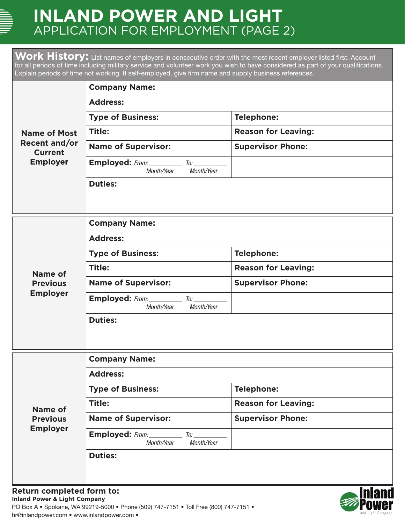# **INLAND POWER AND LIGHT** APPLICATION FOR EMPLOYMENT (PAGE 2)

Work History: List names of employers in consecutive order with the most recent employer listed first. Account for all periods of time including military service and volunteer work you wish to have considered as part of your qualifications. Explain periods of time not working. If self-employed, give firm name and supply business references.

|                                                                                  | <b>Company Name:</b>                                                         |                            |  |  |  |
|----------------------------------------------------------------------------------|------------------------------------------------------------------------------|----------------------------|--|--|--|
|                                                                                  | <b>Address:</b>                                                              |                            |  |  |  |
| <b>Name of Most</b><br><b>Recent and/or</b><br><b>Current</b><br><b>Employer</b> | <b>Type of Business:</b>                                                     | <b>Telephone:</b>          |  |  |  |
|                                                                                  | Title:                                                                       | <b>Reason for Leaving:</b> |  |  |  |
|                                                                                  | <b>Name of Supervisor:</b>                                                   | <b>Supervisor Phone:</b>   |  |  |  |
|                                                                                  | <b>Employed:</b> From: ___________ To: _________<br>Month/Year<br>Month/Year |                            |  |  |  |
|                                                                                  | <b>Duties:</b>                                                               |                            |  |  |  |
| <b>Company Name:</b>                                                             |                                                                              |                            |  |  |  |
|                                                                                  | <b>Address:</b>                                                              |                            |  |  |  |
|                                                                                  | <b>Type of Business:</b>                                                     | <b>Telephone:</b>          |  |  |  |
| Name of                                                                          | Title:                                                                       | <b>Reason for Leaving:</b> |  |  |  |
| <b>Previous</b>                                                                  | <b>Name of Supervisor:</b>                                                   | <b>Supervisor Phone:</b>   |  |  |  |
| <b>Employer</b>                                                                  | Employed: From: ________<br>$\tau$ o:<br>Month/Year<br>Month/Year            |                            |  |  |  |
|                                                                                  | <b>Duties:</b>                                                               |                            |  |  |  |
|                                                                                  | <b>Company Name:</b>                                                         |                            |  |  |  |
|                                                                                  | <b>Address:</b>                                                              |                            |  |  |  |
|                                                                                  | <b>Type of Business:</b>                                                     | <b>Telephone:</b>          |  |  |  |
| <b>Name of</b>                                                                   | Title:                                                                       | <b>Reason for Leaving:</b> |  |  |  |
| <b>Previous</b><br><b>Employer</b>                                               | <b>Name of Supervisor:</b>                                                   | <b>Supervisor Phone:</b>   |  |  |  |
|                                                                                  | <b>Employed:</b> From: ___________ To: ________<br>Month/Year<br>Month/Year  |                            |  |  |  |
|                                                                                  | <b>Duties:</b>                                                               |                            |  |  |  |
| Return completed form to:                                                        |                                                                              | <b>Inland</b>              |  |  |  |

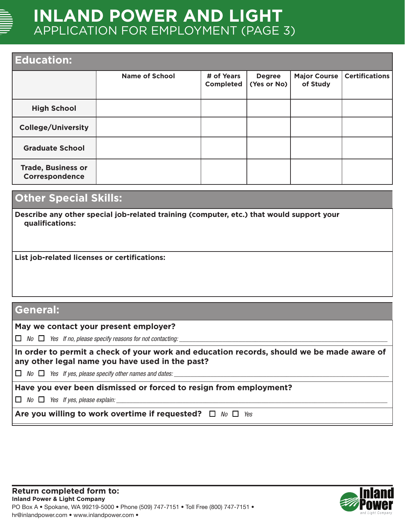

# **INLAND POWER AND LIGHT** APPLICATION FOR EMPLOYMENT (PAGE 3)

## **Education:**

| EUUCALIOII.                                 |                       |                                |                              |                                 |                       |
|---------------------------------------------|-----------------------|--------------------------------|------------------------------|---------------------------------|-----------------------|
|                                             | <b>Name of School</b> | # of Years<br><b>Completed</b> | <b>Degree</b><br>(Yes or No) | <b>Major Course</b><br>of Study | <b>Certifications</b> |
| <b>High School</b>                          |                       |                                |                              |                                 |                       |
| <b>College/University</b>                   |                       |                                |                              |                                 |                       |
| <b>Graduate School</b>                      |                       |                                |                              |                                 |                       |
| <b>Trade, Business or</b><br>Correspondence |                       |                                |                              |                                 |                       |

## **Other Special Skills:**

**Describe any other special job-related training (computer, etc.) that would support your qualifications:**

**List job-related licenses or certifications:**

## **General:**

### **May we contact your present employer?**

 $\Box$  No  $\Box$  Yes If no, please specify reasons for not contacting:

**In order to permit a check of your work and education records, should we be made aware of any other legal name you have used in the past?** 

 $\Box$  No  $\Box$  Yes If yes, please specify other names and dates:

## **Have you ever been dismissed or forced to resign from employment?**

 $\Box$  No  $\Box$  Yes If yes, please explain:

**Are you willing to work overtime if requested?**  $\Box$  *No*  $\Box$  *Yes* 

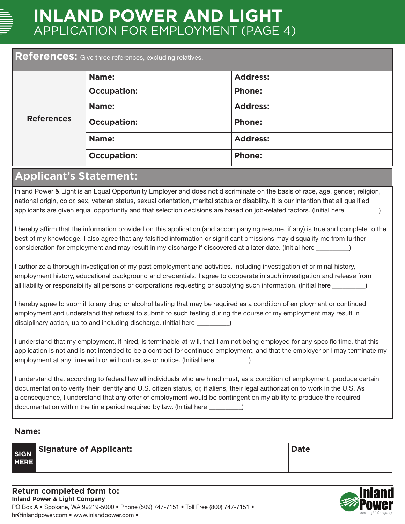

# **INLAND POWER AND LIGHT** APPLICATION FOR EMPLOYMENT (PAGE 4)

### **References:** Give three references, excluding relatives.

| <b>References</b> | Name:              | <b>Address:</b> |
|-------------------|--------------------|-----------------|
|                   | <b>Occupation:</b> | <b>Phone:</b>   |
|                   | Name:              | <b>Address:</b> |
|                   | <b>Occupation:</b> | <b>Phone:</b>   |
|                   | Name:              | <b>Address:</b> |
|                   | <b>Occupation:</b> | <b>Phone:</b>   |

## **Applicant's Statement:**

Inland Power & Light is an Equal Opportunity Employer and does not discriminate on the basis of race, age, gender, religion, national origin, color, sex, veteran status, sexual orientation, marital status or disability. It is our intention that all qualified applicants are given equal opportunity and that selection decisions are based on job-related factors. (Initial here

I hereby affirm that the information provided on this application (and accompanying resume, if any) is true and complete to the best of my knowledge. I also agree that any falsified information or significant omissions may disqualify me from further consideration for employment and may result in my discharge if discovered at a later date. (Initial here \_\_\_\_\_\_\_\_\_\_)

I authorize a thorough investigation of my past employment and activities, including investigation of criminal history, employment history, educational background and credentials. I agree to cooperate in such investigation and release from all liability or responsibility all persons or corporations requesting or supplying such information. (Initial here \_\_\_\_\_\_\_\_\_\_)

I hereby agree to submit to any drug or alcohol testing that may be required as a condition of employment or continued employment and understand that refusal to submit to such testing during the course of my employment may result in disciplinary action, up to and including discharge. (Initial here \_\_\_\_\_\_\_\_\_\_)

I understand that my employment, if hired, is terminable-at-will, that I am not being employed for any specific time, that this application is not and is not intended to be a contract for continued employment, and that the employer or I may terminate my employment at any time with or without cause or notice. (Initial here \_\_\_\_\_\_\_\_)

I understand that according to federal law all individuals who are hired must, as a condition of employment, produce certain documentation to verify their identity and U.S. citizen status, or, if aliens, their legal authorization to work in the U.S. As a consequence, I understand that any offer of employment would be contingent on my ability to produce the required documentation within the time period required by law. (Initial here  $\qquad \qquad$  )

### **Name:**

**SIGN HERE Signature of Applicant: Date**